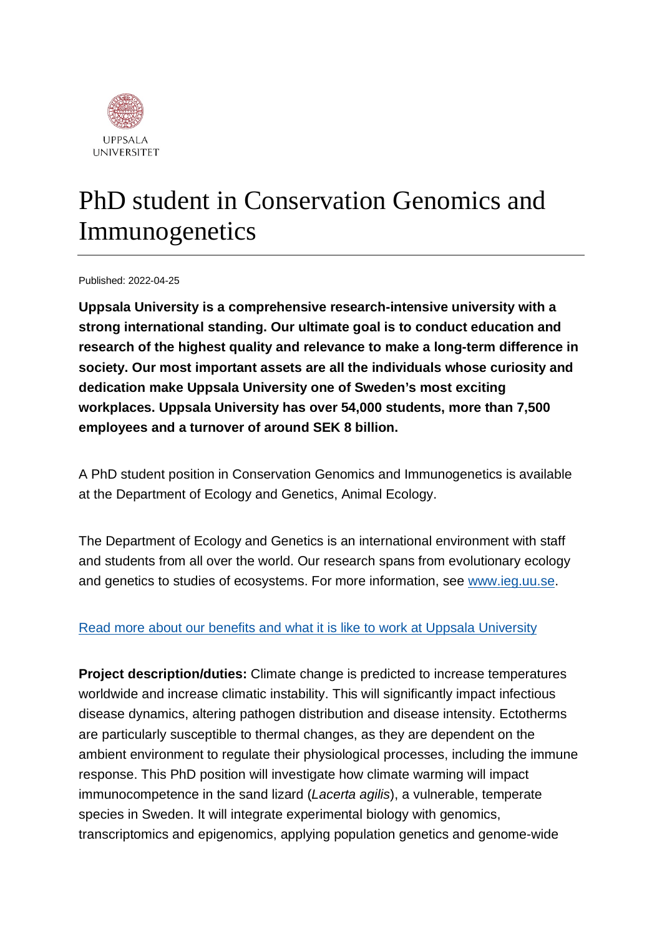

## PhD student in Conservation Genomics and Immunogenetics

Published: 2022-04-25

**Uppsala University is a comprehensive research-intensive university with a strong international standing. Our ultimate goal is to conduct education and research of the highest quality and relevance to make a long-term difference in society. Our most important assets are all the individuals whose curiosity and dedication make Uppsala University one of Sweden's most exciting workplaces. Uppsala University has over 54,000 students, more than 7,500 employees and a turnover of around SEK 8 billion.**

A PhD student position in Conservation Genomics and Immunogenetics is available at the Department of Ecology and Genetics, Animal Ecology.

The Department of Ecology and Genetics is an international environment with staff and students from all over the world. Our research spans from evolutionary ecology and genetics to studies of ecosystems. For more information, see [www.ieg.uu.se.](http://www.ieg.uu.se/)

#### [Read more about our benefits and what it is like to work at Uppsala University](https://www.uu.se/en/about-uu/join-us/)

**Project description/duties:** Climate change is predicted to increase temperatures worldwide and increase climatic instability. This will significantly impact infectious disease dynamics, altering pathogen distribution and disease intensity. Ectotherms are particularly susceptible to thermal changes, as they are dependent on the ambient environment to regulate their physiological processes, including the immune response. This PhD position will investigate how climate warming will impact immunocompetence in the sand lizard (*Lacerta agilis*), a vulnerable, temperate species in Sweden. It will integrate experimental biology with genomics, transcriptomics and epigenomics, applying population genetics and genome-wide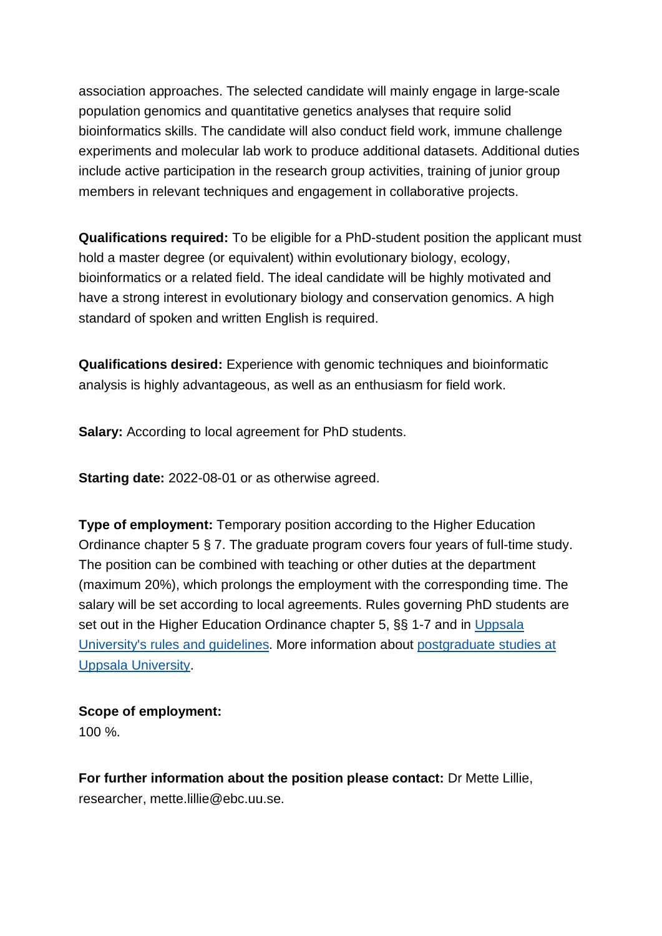association approaches. The selected candidate will mainly engage in large-scale population genomics and quantitative genetics analyses that require solid bioinformatics skills. The candidate will also conduct field work, immune challenge experiments and molecular lab work to produce additional datasets. Additional duties include active participation in the research group activities, training of junior group members in relevant techniques and engagement in collaborative projects.

**Qualifications required:** To be eligible for a PhD-student position the applicant must hold a master degree (or equivalent) within evolutionary biology, ecology, bioinformatics or a related field. The ideal candidate will be highly motivated and have a strong interest in evolutionary biology and conservation genomics. A high standard of spoken and written English is required.

**Qualifications desired:** Experience with genomic techniques and bioinformatic analysis is highly advantageous, as well as an enthusiasm for field work.

**Salary:** According to local agreement for PhD students.

**Starting date:** 2022-08-01 or as otherwise agreed.

**Type of employment:** Temporary position according to the Higher Education Ordinance chapter 5 § 7. The graduate program covers four years of full-time study. The position can be combined with teaching or other duties at the department (maximum 20%), which prolongs the employment with the corresponding time. The salary will be set according to local agreements. Rules governing PhD students are set out in the Higher Education Ordinance chapter 5, §§ 1-7 and in [Uppsala](https://regler.uu.se/?languageId=1)  [University's rules and guidelines.](https://regler.uu.se/?languageId=1) More information about [postgraduate studies at](http://www.teknat.uu.se/education/postgraduate/)  [Uppsala University.](http://www.teknat.uu.se/education/postgraduate/)

### **Scope of employment:**

100 %.

**For further information about the position please contact:** Dr Mette Lillie, researcher, mette.lillie@ebc.uu.se.